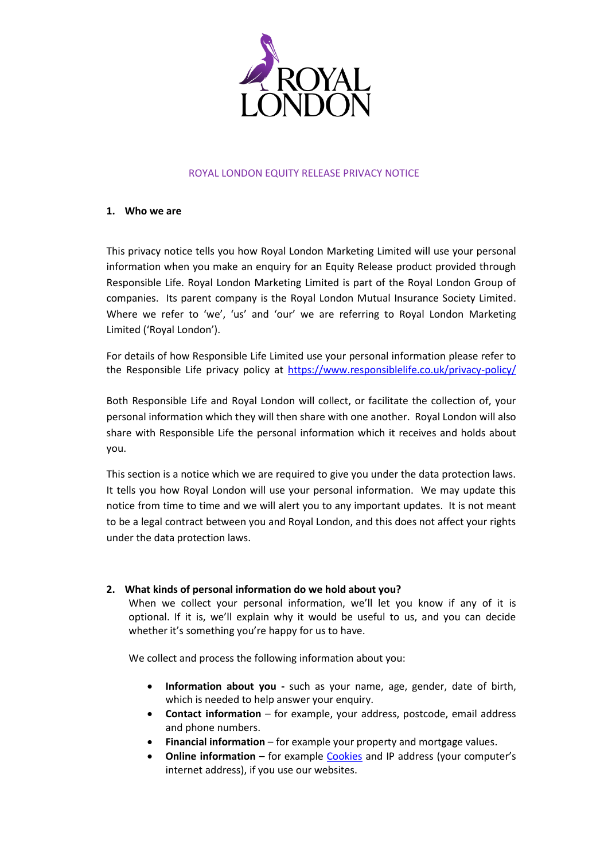

## ROYAL LONDON EQUITY RELEASE PRIVACY NOTICE

## **1. Who we are**

This privacy notice tells you how Royal London Marketing Limited will use your personal information when you make an enquiry for an Equity Release product provided through Responsible Life. Royal London Marketing Limited is part of the Royal London Group of companies. Its parent company is the Royal London Mutual Insurance Society Limited. Where we refer to 'we', 'us' and 'our' we are referring to Royal London Marketing Limited ('Royal London').

For details of how Responsible Life Limited use your personal information please refer to the Responsible Life privacy policy at <https://www.responsiblelife.co.uk/privacy-policy/>

Both Responsible Life and Royal London will collect, or facilitate the collection of, your personal information which they will then share with one another. Royal London will also share with Responsible Life the personal information which it receives and holds about you.

This section is a notice which we are required to give you under the data protection laws. It tells you how Royal London will use your personal information. We may update this notice from time to time and we will alert you to any important updates. It is not meant to be a legal contract between you and Royal London, and this does not affect your rights under the data protection laws.

# **2. What kinds of personal information do we hold about you?**

When we collect your personal information, we'll let you know if any of it is optional. If it is, we'll explain why it would be useful to us, and you can decide whether it's something you're happy for us to have.

We collect and process the following information about you:

- **Information about you -** such as your name, age, gender, date of birth, which is needed to help answer your enquiry.
- **Contact information** for example, your address, postcode, email address and phone numbers.
- **Financial information** for example your property and mortgage values.
- **•** Online information for example [Cookies](https://www.royallondon.com/legal/cookie-policy/) and IP address (your computer's internet address), if you use our websites.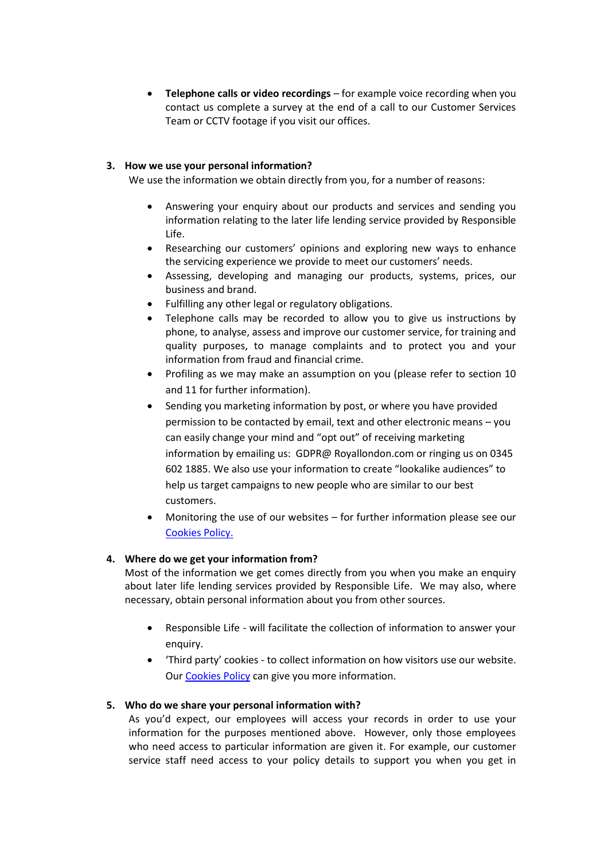**•** Telephone calls or video recordings – for example voice recording when you contact us complete a survey at the end of a call to our Customer Services Team or CCTV footage if you visit our offices.

## **3. How we use your personal information?**

We use the information we obtain directly from you, for a number of reasons:

- Answering your enquiry about our products and services and sending you information relating to the later life lending service provided by Responsible Life.
- Researching our customers' opinions and exploring new ways to enhance the servicing experience we provide to meet our customers' needs.
- Assessing, developing and managing our products, systems, prices, our business and brand.
- Fulfilling any other legal or regulatory obligations.
- Telephone calls may be recorded to allow you to give us instructions by phone, to analyse, assess and improve our customer service, for training and quality purposes, to manage complaints and to protect you and your information from fraud and financial crime.
- Profiling as we may make an assumption on you (please refer to section 10 and 11 for further information).
- Sending you marketing information by post, or where you have provided permission to be contacted by email, text and other electronic means – you can easily change your mind and "opt out" of receiving marketing information by emailing us: GDPR@ Royallondon.com or ringing us on 0345 602 1885. We also use your information to create "lookalike audiences" to help us target campaigns to new people who are similar to our best customers.
- Monitoring the use of our websites for further information please see our [Cookies Policy.](https://www.royallondon.com/legal/cookie-policy/)

## **4. Where do we get your information from?**

Most of the information we get comes directly from you when you make an enquiry about later life lending services provided by Responsible Life. We may also, where necessary, obtain personal information about you from other sources.

- Responsible Life will facilitate the collection of information to answer your enquiry.
- 'Third party' cookies to collect information on how visitors use our website. Our [Cookies Policy](https://www.royallondon.com/legal/cookie-policy/) can give you more information.

# **5. Who do we share your personal information with?**

As you'd expect, our employees will access your records in order to use your information for the purposes mentioned above. However, only those employees who need access to particular information are given it. For example, our customer service staff need access to your policy details to support you when you get in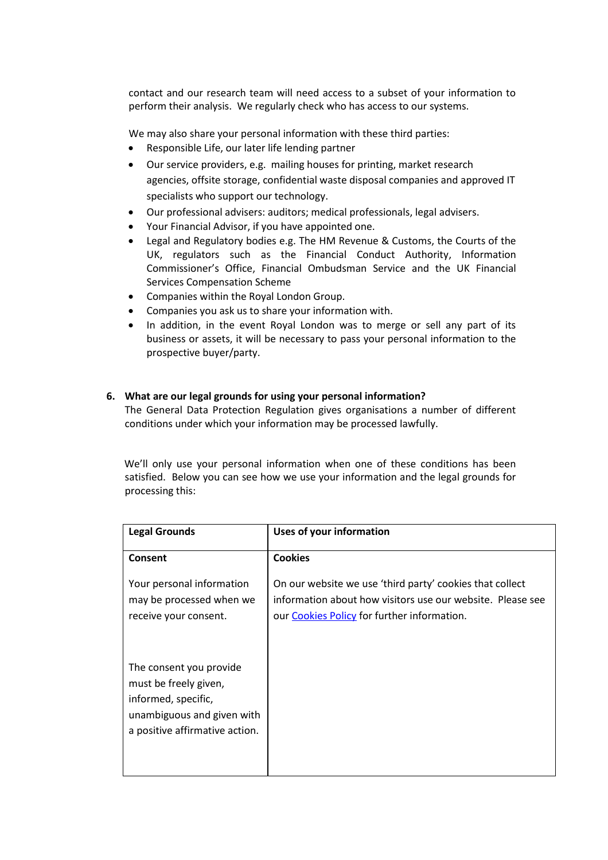contact and our research team will need access to a subset of your information to perform their analysis. We regularly check who has access to our systems.

We may also share your personal information with these third parties:

- Responsible Life, our later life lending partner
- Our service providers, e.g. mailing houses for printing, market research agencies, offsite storage, confidential waste disposal companies and approved IT specialists who support our technology.
- Our professional advisers: auditors; medical professionals, legal advisers.
- Your Financial Advisor, if you have appointed one.
- Legal and Regulatory bodies e.g. The HM Revenue & Customs, the Courts of the UK, regulators such as the Financial Conduct Authority, Information Commissioner's Office, Financial Ombudsman Service and the UK Financial Services Compensation Scheme
- Companies within the Royal London Group.
- Companies you ask us to share your information with.
- In addition, in the event Royal London was to merge or sell any part of its business or assets, it will be necessary to pass your personal information to the prospective buyer/party.

## **6. What are our legal grounds for using your personal information?**

The General Data Protection Regulation gives organisations a number of different conditions under which your information may be processed lawfully.

 We'll only use your personal information when one of these conditions has been satisfied. Below you can see how we use your information and the legal grounds for processing this:

| <b>Legal Grounds</b>                                                                                                                    | Uses of your information                                                                                                                                              |
|-----------------------------------------------------------------------------------------------------------------------------------------|-----------------------------------------------------------------------------------------------------------------------------------------------------------------------|
| Consent                                                                                                                                 | <b>Cookies</b>                                                                                                                                                        |
| Your personal information<br>may be processed when we<br>receive your consent.                                                          | On our website we use 'third party' cookies that collect<br>information about how visitors use our website. Please see<br>our Cookies Policy for further information. |
| The consent you provide<br>must be freely given,<br>informed, specific,<br>unambiguous and given with<br>a positive affirmative action. |                                                                                                                                                                       |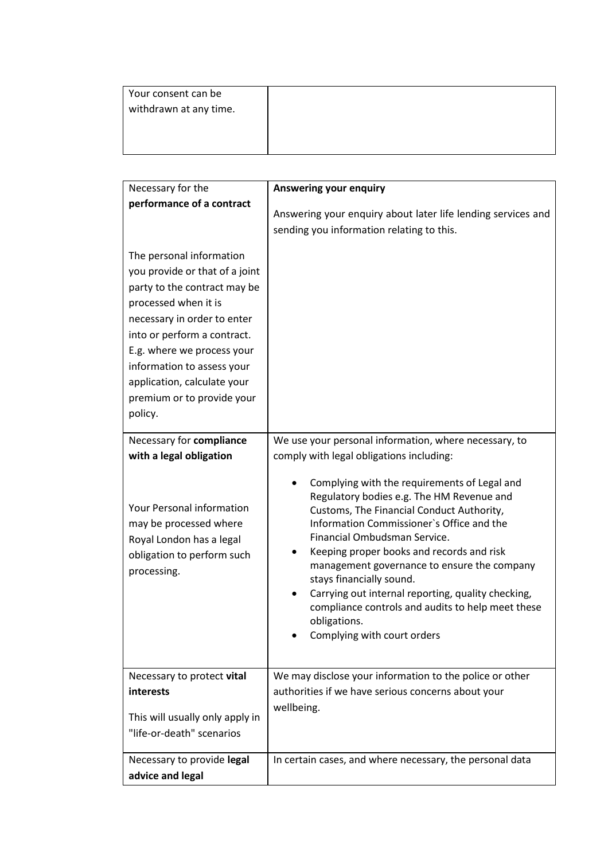| Your consent can be    |  |
|------------------------|--|
| withdrawn at any time. |  |
|                        |  |
|                        |  |
|                        |  |

| Necessary for the                                                                                                                                                                                                                                                                                                    | <b>Answering your enquiry</b>                                                                                                                                                                                                                                                                                                                                                                                                                                                                         |
|----------------------------------------------------------------------------------------------------------------------------------------------------------------------------------------------------------------------------------------------------------------------------------------------------------------------|-------------------------------------------------------------------------------------------------------------------------------------------------------------------------------------------------------------------------------------------------------------------------------------------------------------------------------------------------------------------------------------------------------------------------------------------------------------------------------------------------------|
| performance of a contract                                                                                                                                                                                                                                                                                            |                                                                                                                                                                                                                                                                                                                                                                                                                                                                                                       |
|                                                                                                                                                                                                                                                                                                                      | Answering your enquiry about later life lending services and<br>sending you information relating to this.                                                                                                                                                                                                                                                                                                                                                                                             |
| The personal information<br>you provide or that of a joint<br>party to the contract may be<br>processed when it is<br>necessary in order to enter<br>into or perform a contract.<br>E.g. where we process your<br>information to assess your<br>application, calculate your<br>premium or to provide your<br>policy. |                                                                                                                                                                                                                                                                                                                                                                                                                                                                                                       |
| Necessary for compliance                                                                                                                                                                                                                                                                                             | We use your personal information, where necessary, to                                                                                                                                                                                                                                                                                                                                                                                                                                                 |
| with a legal obligation                                                                                                                                                                                                                                                                                              | comply with legal obligations including:                                                                                                                                                                                                                                                                                                                                                                                                                                                              |
| Your Personal information<br>may be processed where<br>Royal London has a legal<br>obligation to perform such<br>processing.                                                                                                                                                                                         | Complying with the requirements of Legal and<br>Regulatory bodies e.g. The HM Revenue and<br>Customs, The Financial Conduct Authority,<br>Information Commissioner's Office and the<br>Financial Ombudsman Service.<br>Keeping proper books and records and risk<br>management governance to ensure the company<br>stays financially sound.<br>Carrying out internal reporting, quality checking,<br>compliance controls and audits to help meet these<br>obligations.<br>Complying with court orders |
| Necessary to protect vital                                                                                                                                                                                                                                                                                           | We may disclose your information to the police or other                                                                                                                                                                                                                                                                                                                                                                                                                                               |
| interests                                                                                                                                                                                                                                                                                                            | authorities if we have serious concerns about your                                                                                                                                                                                                                                                                                                                                                                                                                                                    |
| This will usually only apply in<br>"life-or-death" scenarios                                                                                                                                                                                                                                                         | wellbeing.                                                                                                                                                                                                                                                                                                                                                                                                                                                                                            |
| Necessary to provide legal                                                                                                                                                                                                                                                                                           | In certain cases, and where necessary, the personal data                                                                                                                                                                                                                                                                                                                                                                                                                                              |
| advice and legal                                                                                                                                                                                                                                                                                                     |                                                                                                                                                                                                                                                                                                                                                                                                                                                                                                       |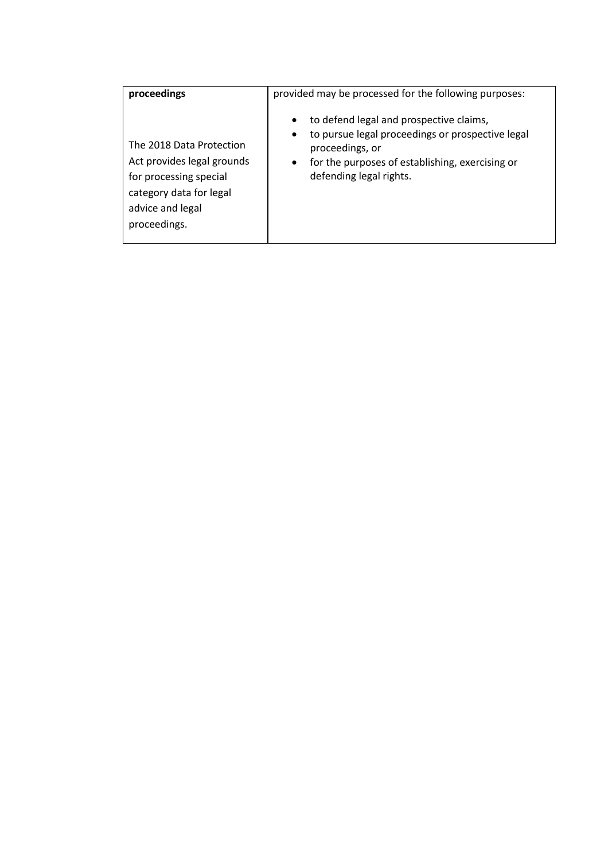| proceedings                                                                                                                                     | provided may be processed for the following purposes:                                                                                                                                                                               |
|-------------------------------------------------------------------------------------------------------------------------------------------------|-------------------------------------------------------------------------------------------------------------------------------------------------------------------------------------------------------------------------------------|
| The 2018 Data Protection<br>Act provides legal grounds<br>for processing special<br>category data for legal<br>advice and legal<br>proceedings. | to defend legal and prospective claims,<br>$\bullet$<br>to pursue legal proceedings or prospective legal<br>$\bullet$<br>proceedings, or<br>for the purposes of establishing, exercising or<br>$\bullet$<br>defending legal rights. |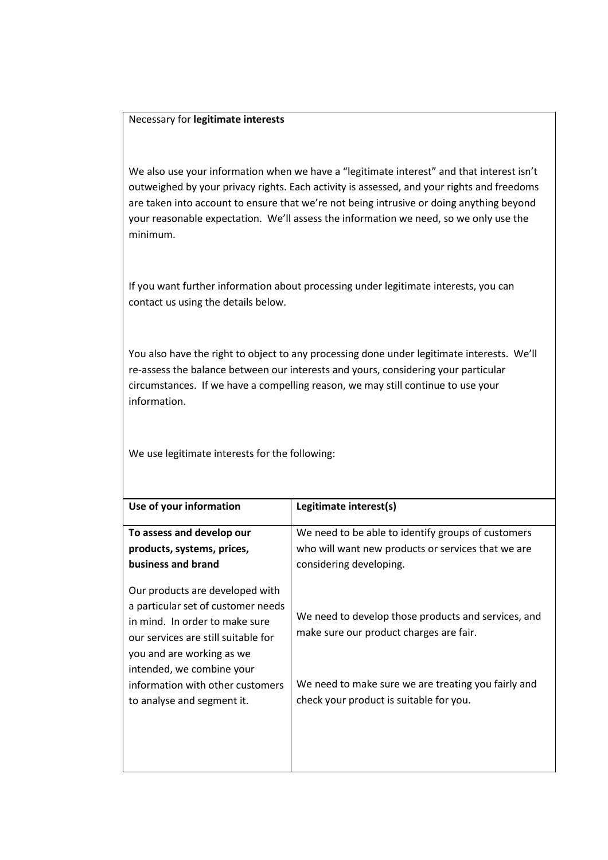## Necessary for **legitimate interests**

We also use your information when we have a "legitimate interest" and that interest isn't outweighed by your privacy rights. Each activity is assessed, and your rights and freedoms are taken into account to ensure that we're not being intrusive or doing anything beyond your reasonable expectation. We'll assess the information we need, so we only use the minimum.

If you want further information about processing under legitimate interests, you can contact us using the details below.

You also have the right to object to any processing done under legitimate interests. We'll re-assess the balance between our interests and yours, considering your particular circumstances. If we have a compelling reason, we may still continue to use your information.

We use legitimate interests for the following:

| Use of your information                                                                                 | Legitimate interest(s)                              |  |
|---------------------------------------------------------------------------------------------------------|-----------------------------------------------------|--|
| To assess and develop our                                                                               | We need to be able to identify groups of customers  |  |
| products, systems, prices,                                                                              | who will want new products or services that we are  |  |
| business and brand                                                                                      | considering developing.                             |  |
| Our products are developed with<br>a particular set of customer needs<br>in mind. In order to make sure | We need to develop those products and services, and |  |
| our services are still suitable for<br>you and are working as we<br>intended, we combine your           | make sure our product charges are fair.             |  |
| information with other customers                                                                        | We need to make sure we are treating you fairly and |  |
| to analyse and segment it.                                                                              | check your product is suitable for you.             |  |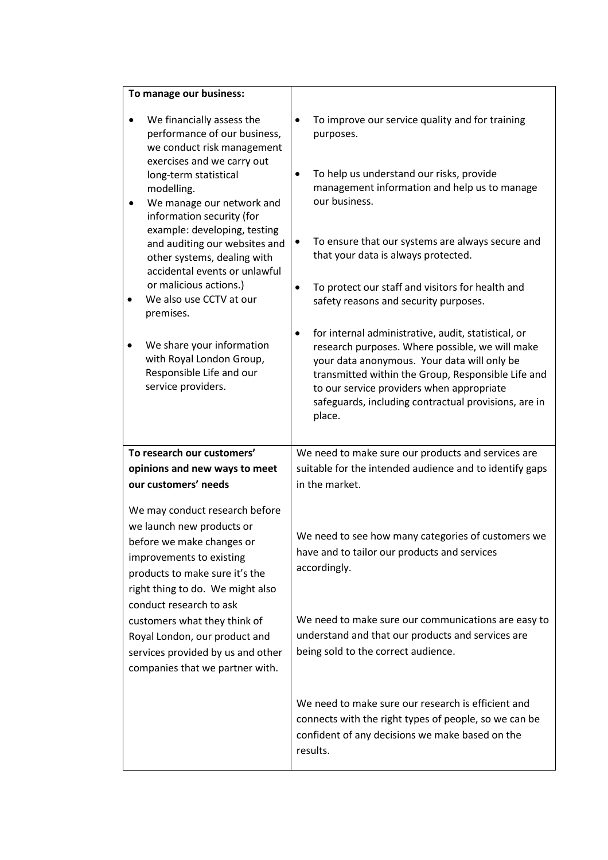| To manage our business:                                                                                                                                                                                                                                                                                                                                        |                                                                                                                                                                                                                                                                                                                                         |
|----------------------------------------------------------------------------------------------------------------------------------------------------------------------------------------------------------------------------------------------------------------------------------------------------------------------------------------------------------------|-----------------------------------------------------------------------------------------------------------------------------------------------------------------------------------------------------------------------------------------------------------------------------------------------------------------------------------------|
| We financially assess the<br>performance of our business,<br>we conduct risk management<br>exercises and we carry out                                                                                                                                                                                                                                          | To improve our service quality and for training<br>$\bullet$<br>purposes.                                                                                                                                                                                                                                                               |
| long-term statistical<br>modelling.<br>We manage our network and<br>information security (for                                                                                                                                                                                                                                                                  | To help us understand our risks, provide<br>$\bullet$<br>management information and help us to manage<br>our business.                                                                                                                                                                                                                  |
| example: developing, testing<br>and auditing our websites and<br>other systems, dealing with<br>accidental events or unlawful                                                                                                                                                                                                                                  | To ensure that our systems are always secure and<br>$\bullet$<br>that your data is always protected.                                                                                                                                                                                                                                    |
| or malicious actions.)<br>We also use CCTV at our<br>premises.                                                                                                                                                                                                                                                                                                 | To protect our staff and visitors for health and<br>$\bullet$<br>safety reasons and security purposes.                                                                                                                                                                                                                                  |
| We share your information<br>with Royal London Group,<br>Responsible Life and our<br>service providers.                                                                                                                                                                                                                                                        | for internal administrative, audit, statistical, or<br>$\bullet$<br>research purposes. Where possible, we will make<br>your data anonymous. Your data will only be<br>transmitted within the Group, Responsible Life and<br>to our service providers when appropriate<br>safeguards, including contractual provisions, are in<br>place. |
| To research our customers'                                                                                                                                                                                                                                                                                                                                     | We need to make sure our products and services are                                                                                                                                                                                                                                                                                      |
| opinions and new ways to meet<br>our customers' needs                                                                                                                                                                                                                                                                                                          | suitable for the intended audience and to identify gaps<br>in the market.                                                                                                                                                                                                                                                               |
| We may conduct research before<br>we launch new products or<br>before we make changes or<br>improvements to existing<br>products to make sure it's the<br>right thing to do. We might also<br>conduct research to ask<br>customers what they think of<br>Royal London, our product and<br>services provided by us and other<br>companies that we partner with. | We need to see how many categories of customers we<br>have and to tailor our products and services<br>accordingly.<br>We need to make sure our communications are easy to<br>understand and that our products and services are<br>being sold to the correct audience.                                                                   |
|                                                                                                                                                                                                                                                                                                                                                                | We need to make sure our research is efficient and<br>connects with the right types of people, so we can be<br>confident of any decisions we make based on the<br>results.                                                                                                                                                              |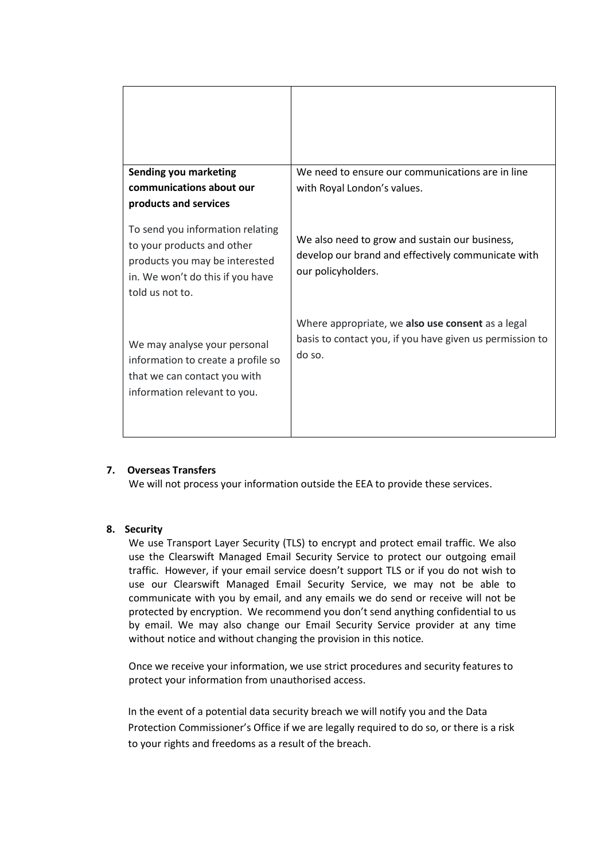| <b>Sending you marketing</b><br>communications about our                                                                                                | We need to ensure our communications are in line<br>with Royal London's values.                                            |
|---------------------------------------------------------------------------------------------------------------------------------------------------------|----------------------------------------------------------------------------------------------------------------------------|
| products and services                                                                                                                                   |                                                                                                                            |
| To send you information relating<br>to your products and other<br>products you may be interested<br>in. We won't do this if you have<br>told us not to. | We also need to grow and sustain our business,<br>develop our brand and effectively communicate with<br>our policyholders. |
| We may analyse your personal<br>information to create a profile so<br>that we can contact you with<br>information relevant to you.                      | Where appropriate, we also use consent as a legal<br>basis to contact you, if you have given us permission to<br>do so.    |

## **7. Overseas Transfers**

We will not process your information outside the EEA to provide these services.

## **8. Security**

We use Transport Layer Security (TLS) to encrypt and protect email traffic. We also use the Clearswift Managed Email Security Service to protect our outgoing email traffic. However, if your email service doesn't support TLS or if you do not wish to use our Clearswift Managed Email Security Service, we may not be able to communicate with you by email, and any emails we do send or receive will not be protected by encryption. We recommend you don't send anything confidential to us by email. We may also change our Email Security Service provider at any time without notice and without changing the provision in this notice*.*

Once we receive your information, we use strict procedures and security features to protect your information from unauthorised access.

In the event of a potential data security breach we will notify you and the Data Protection Commissioner's Office if we are legally required to do so, or there is a risk to your rights and freedoms as a result of the breach.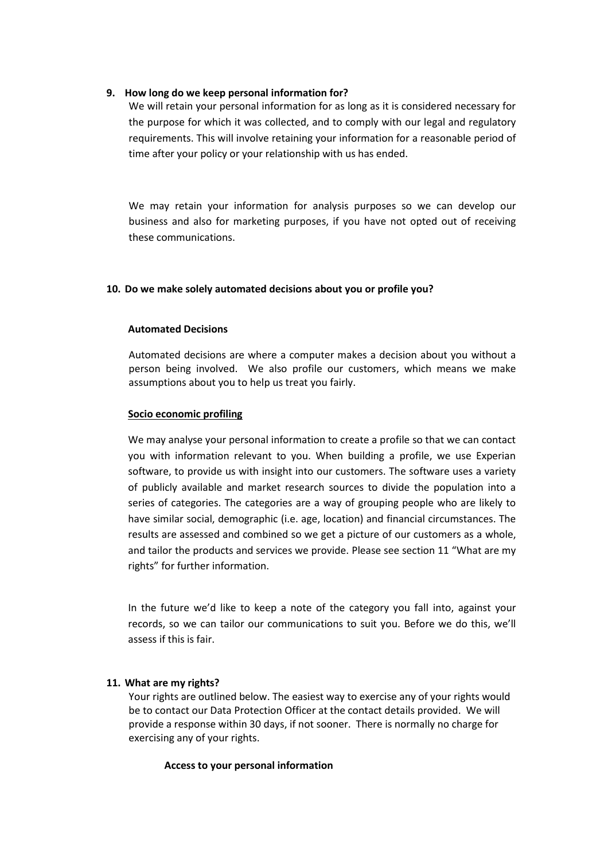## **9. How long do we keep personal information for?**

We will retain your personal information for as long as it is considered necessary for the purpose for which it was collected, and to comply with our legal and regulatory requirements. This will involve retaining your information for a reasonable period of time after your policy or your relationship with us has ended.

We may retain your information for analysis purposes so we can develop our business and also for marketing purposes, if you have not opted out of receiving these communications.

## **10. Do we make solely automated decisions about you or profile you?**

## **Automated Decisions**

Automated decisions are where a computer makes a decision about you without a person being involved. We also profile our customers, which means we make assumptions about you to help us treat you fairly.

## **Socio economic profiling**

We may analyse your personal information to create a profile so that we can contact you with information relevant to you. When building a profile, we use Experian software, to provide us with insight into our customers. The software uses a variety of publicly available and market research sources to divide the population into a series of categories. The categories are a way of grouping people who are likely to have similar social, demographic (i.e. age, location) and financial circumstances. The results are assessed and combined so we get a picture of our customers as a whole, and tailor the products and services we provide. Please see section 11 "What are my rights" for further information.

In the future we'd like to keep a note of the category you fall into, against your records, so we can tailor our communications to suit you. Before we do this, we'll assess if this is fair.

# **11. What are my rights?**

Your rights are outlined below. The easiest way to exercise any of your rights would be to contact our Data Protection Officer at the contact details provided. We will provide a response within 30 days, if not sooner. There is normally no charge for exercising any of your rights.

# **Access to your personal information**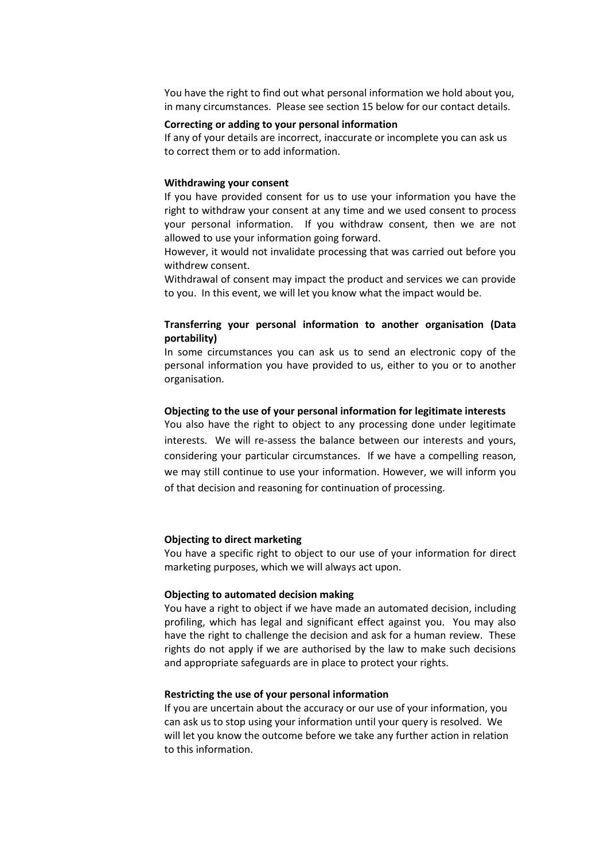You have the right to find out what personal information we hold about you, in many circumstances. Please see section 15 below for our contact details.

#### **Correcting or adding to your personal information**

If any of your details are incorrect, inaccurate or incomplete you can ask us to correct them or to add information.

### **Withdrawing your consent**

If you have provided consent for us to use your information you have the right to withdraw your consent at any time and we used consent to process your personal information. If you withdraw consent, then we are not allowed to use your information going forward.

However, it would not invalidate processing that was carried out before you withdrew consent.

Withdrawal of consent may impact the product and services we can provide to you. In this event, we will let you know what the impact would be.

## **Transferring your personal information to another organisation (Data portability)**

In some circumstances you can ask us to send an electronic copy of the personal information you have provided to us, either to you or to another organisation.

### **Objecting to the use of your personal information for legitimate interests**

You also have the right to object to any processing done under legitimate interests. We will re-assess the balance between our interests and yours, considering your particular circumstances. If we have a compelling reason, we may still continue to use your information. However, we will inform you of that decision and reasoning for continuation of processing.

#### **Objecting to direct marketing**

You have a specific right to object to our use of your information for direct marketing purposes, which we will always act upon.

#### **Objecting to automated decision making**

You have a right to object if we have made an automated decision, including profiling, which has legal and significant effect against you. You may also have the right to challenge the decision and ask for a human review. These rights do not apply if we are authorised by the law to make such decisions and appropriate safeguards are in place to protect your rights.

### **Restricting the use of your personal information**

If you are uncertain about the accuracy or our use of your information, you can ask us to stop using your information until your query is resolved. We will let you know the outcome before we take any further action in relation to this information.